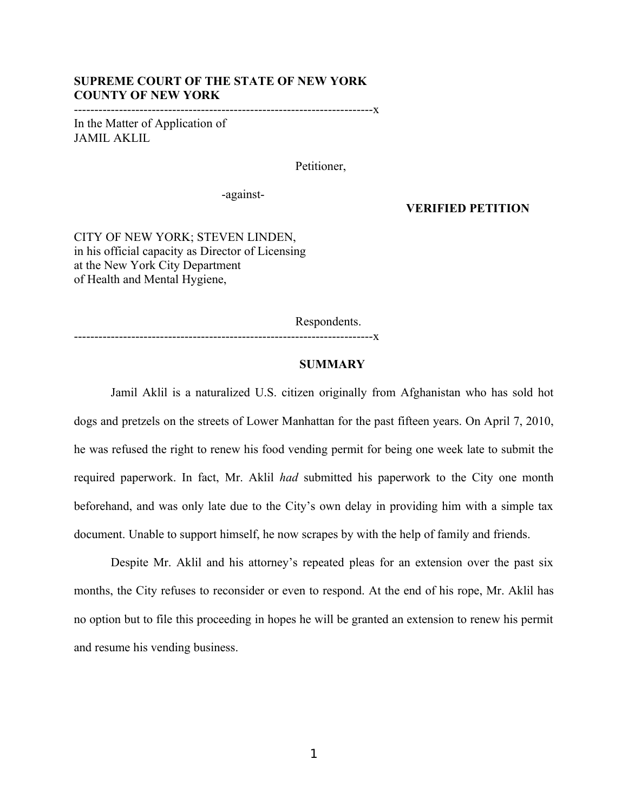## **SUPREME COURT OF THE STATE OF NEW YORK COUNTY OF NEW YORK**

-------------------------------------------------------------------------x

In the Matter of Application of JAMIL AKLIL

Petitioner,

-against-

-------------------------------------------------------------------------x

## **VERIFIED PETITION**

CITY OF NEW YORK; STEVEN LINDEN, in his official capacity as Director of Licensing at the New York City Department of Health and Mental Hygiene,

Respondents.

## **SUMMARY**

Jamil Aklil is a naturalized U.S. citizen originally from Afghanistan who has sold hot dogs and pretzels on the streets of Lower Manhattan for the past fifteen years. On April 7, 2010, he was refused the right to renew his food vending permit for being one week late to submit the required paperwork. In fact, Mr. Aklil *had* submitted his paperwork to the City one month beforehand, and was only late due to the City's own delay in providing him with a simple tax document. Unable to support himself, he now scrapes by with the help of family and friends.

Despite Mr. Aklil and his attorney's repeated pleas for an extension over the past six months, the City refuses to reconsider or even to respond. At the end of his rope, Mr. Aklil has no option but to file this proceeding in hopes he will be granted an extension to renew his permit and resume his vending business.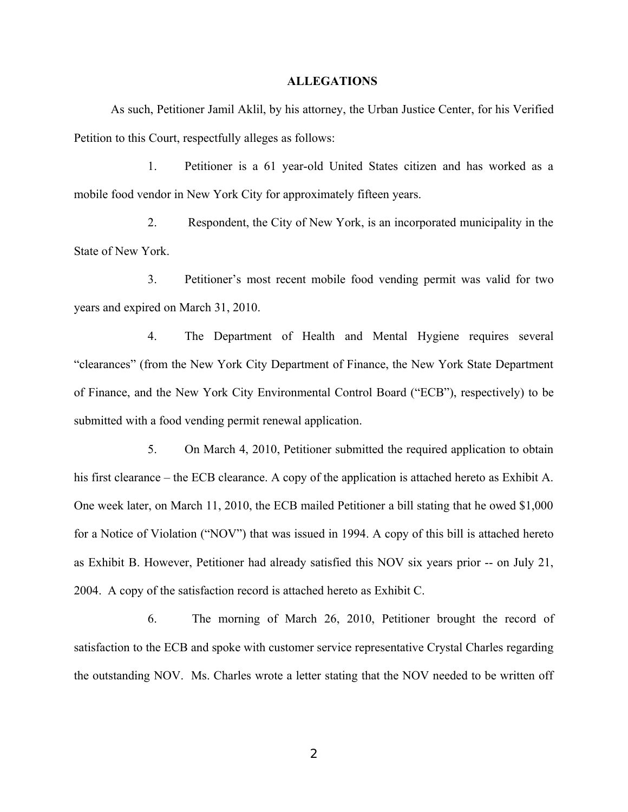## **ALLEGATIONS**

As such, Petitioner Jamil Aklil, by his attorney, the Urban Justice Center, for his Verified Petition to this Court, respectfully alleges as follows:

1. Petitioner is a 61 year-old United States citizen and has worked as a mobile food vendor in New York City for approximately fifteen years.

2. Respondent, the City of New York, is an incorporated municipality in the State of New York.

3. Petitioner's most recent mobile food vending permit was valid for two years and expired on March 31, 2010.

4. The Department of Health and Mental Hygiene requires several "clearances" (from the New York City Department of Finance, the New York State Department of Finance, and the New York City Environmental Control Board ("ECB"), respectively) to be submitted with a food vending permit renewal application.

5. On March 4, 2010, Petitioner submitted the required application to obtain his first clearance – the ECB clearance. A copy of the application is attached hereto as Exhibit A. One week later, on March 11, 2010, the ECB mailed Petitioner a bill stating that he owed \$1,000 for a Notice of Violation ("NOV") that was issued in 1994. A copy of this bill is attached hereto as Exhibit B. However, Petitioner had already satisfied this NOV six years prior -- on July 21, 2004. A copy of the satisfaction record is attached hereto as Exhibit C.

6. The morning of March 26, 2010, Petitioner brought the record of satisfaction to the ECB and spoke with customer service representative Crystal Charles regarding the outstanding NOV. Ms. Charles wrote a letter stating that the NOV needed to be written off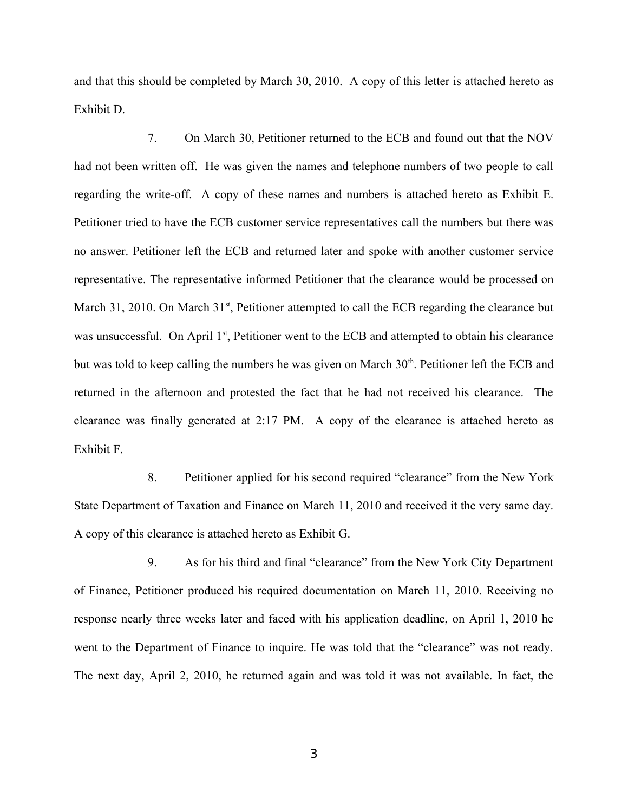and that this should be completed by March 30, 2010. A copy of this letter is attached hereto as Exhibit D.

7. On March 30, Petitioner returned to the ECB and found out that the NOV had not been written off. He was given the names and telephone numbers of two people to call regarding the write-off. A copy of these names and numbers is attached hereto as Exhibit E. Petitioner tried to have the ECB customer service representatives call the numbers but there was no answer. Petitioner left the ECB and returned later and spoke with another customer service representative. The representative informed Petitioner that the clearance would be processed on March 31, 2010. On March  $31<sup>st</sup>$ , Petitioner attempted to call the ECB regarding the clearance but was unsuccessful. On April 1<sup>st</sup>, Petitioner went to the ECB and attempted to obtain his clearance but was told to keep calling the numbers he was given on March  $30<sup>th</sup>$ . Petitioner left the ECB and returned in the afternoon and protested the fact that he had not received his clearance. The clearance was finally generated at 2:17 PM. A copy of the clearance is attached hereto as Exhibit F.

8. Petitioner applied for his second required "clearance" from the New York State Department of Taxation and Finance on March 11, 2010 and received it the very same day. A copy of this clearance is attached hereto as Exhibit G.

9. As for his third and final "clearance" from the New York City Department of Finance, Petitioner produced his required documentation on March 11, 2010. Receiving no response nearly three weeks later and faced with his application deadline, on April 1, 2010 he went to the Department of Finance to inquire. He was told that the "clearance" was not ready. The next day, April 2, 2010, he returned again and was told it was not available. In fact, the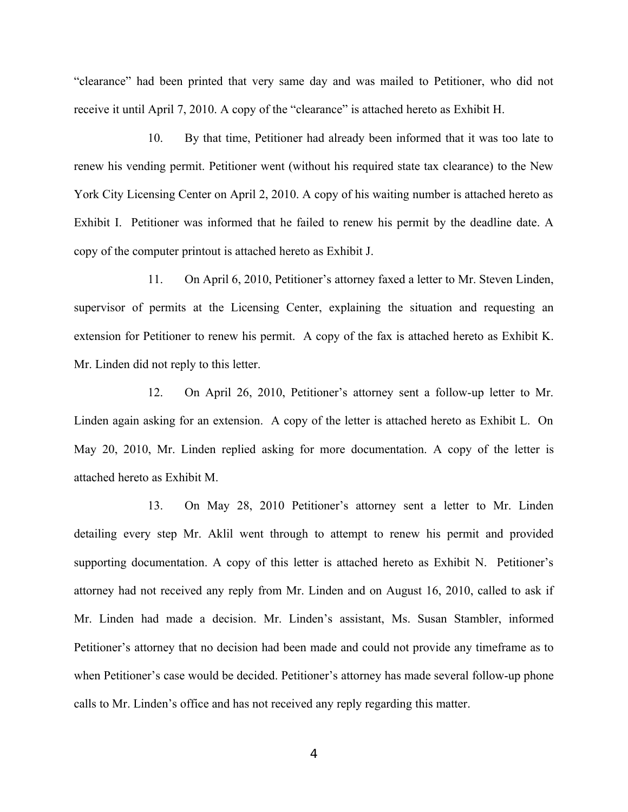"clearance" had been printed that very same day and was mailed to Petitioner, who did not receive it until April 7, 2010. A copy of the "clearance" is attached hereto as Exhibit H.

10. By that time, Petitioner had already been informed that it was too late to renew his vending permit. Petitioner went (without his required state tax clearance) to the New York City Licensing Center on April 2, 2010. A copy of his waiting number is attached hereto as Exhibit I. Petitioner was informed that he failed to renew his permit by the deadline date. A copy of the computer printout is attached hereto as Exhibit J.

11. On April 6, 2010, Petitioner's attorney faxed a letter to Mr. Steven Linden, supervisor of permits at the Licensing Center, explaining the situation and requesting an extension for Petitioner to renew his permit. A copy of the fax is attached hereto as Exhibit K. Mr. Linden did not reply to this letter.

12. On April 26, 2010, Petitioner's attorney sent a follow-up letter to Mr. Linden again asking for an extension. A copy of the letter is attached hereto as Exhibit L. On May 20, 2010, Mr. Linden replied asking for more documentation. A copy of the letter is attached hereto as Exhibit M.

13. On May 28, 2010 Petitioner's attorney sent a letter to Mr. Linden detailing every step Mr. Aklil went through to attempt to renew his permit and provided supporting documentation. A copy of this letter is attached hereto as Exhibit N. Petitioner's attorney had not received any reply from Mr. Linden and on August 16, 2010, called to ask if Mr. Linden had made a decision. Mr. Linden's assistant, Ms. Susan Stambler, informed Petitioner's attorney that no decision had been made and could not provide any timeframe as to when Petitioner's case would be decided. Petitioner's attorney has made several follow-up phone calls to Mr. Linden's office and has not received any reply regarding this matter.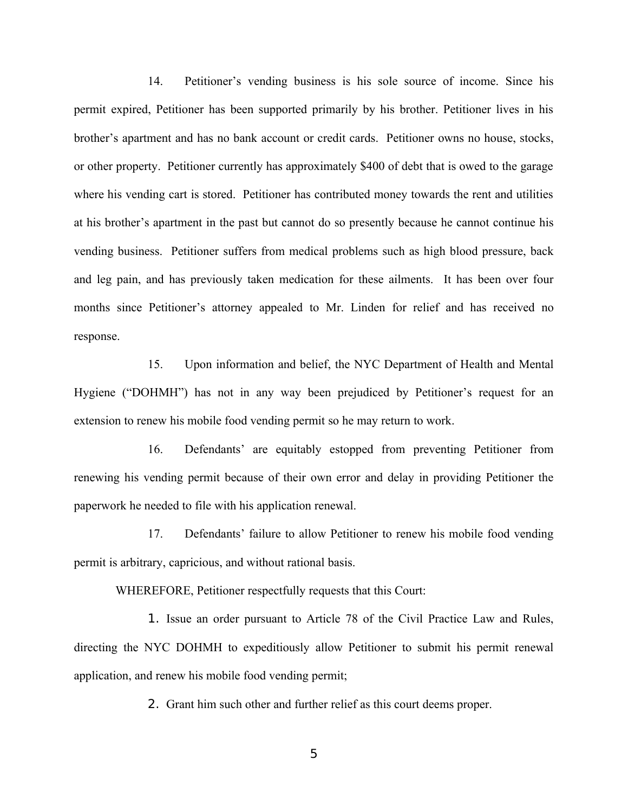14. Petitioner's vending business is his sole source of income. Since his permit expired, Petitioner has been supported primarily by his brother. Petitioner lives in his brother's apartment and has no bank account or credit cards. Petitioner owns no house, stocks, or other property. Petitioner currently has approximately \$400 of debt that is owed to the garage where his vending cart is stored. Petitioner has contributed money towards the rent and utilities at his brother's apartment in the past but cannot do so presently because he cannot continue his vending business. Petitioner suffers from medical problems such as high blood pressure, back and leg pain, and has previously taken medication for these ailments. It has been over four months since Petitioner's attorney appealed to Mr. Linden for relief and has received no response.

15. Upon information and belief, the NYC Department of Health and Mental Hygiene ("DOHMH") has not in any way been prejudiced by Petitioner's request for an extension to renew his mobile food vending permit so he may return to work.

16. Defendants' are equitably estopped from preventing Petitioner from renewing his vending permit because of their own error and delay in providing Petitioner the paperwork he needed to file with his application renewal.

17. Defendants' failure to allow Petitioner to renew his mobile food vending permit is arbitrary, capricious, and without rational basis.

WHEREFORE, Petitioner respectfully requests that this Court:

1. Issue an order pursuant to Article 78 of the Civil Practice Law and Rules, directing the NYC DOHMH to expeditiously allow Petitioner to submit his permit renewal application, and renew his mobile food vending permit;

2. Grant him such other and further relief as this court deems proper.